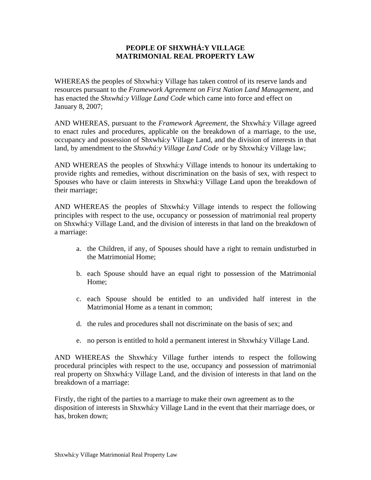## **PEOPLE OF SHXWHÁ:Y VILLAGE MATRIMONIAL REAL PROPERTY LAW**

WHEREAS the peoples of Shxwhá:y Village has taken control of its reserve lands and resources pursuant to the *Framework Agreement on First Nation Land Management,* and has enacted the *Shxwhá:y Village Land Code* which came into force and effect on January 8, 2007;

AND WHEREAS, pursuant to the *Framework Agreement,* the Shxwhá:y Village agreed to enact rules and procedures, applicable on the breakdown of a marriage, to the use, occupancy and possession of Shxwhá:y Village Land, and the division of interests in that land, by amendment to the *Shxwhá:y Village Land Code* or by Shxwhá:y Village law;

AND WHEREAS the peoples of Shxwhá:y Village intends to honour its undertaking to provide rights and remedies, without discrimination on the basis of sex, with respect to Spouses who have or claim interests in Shxwhá:y Village Land upon the breakdown of their marriage;

AND WHEREAS the peoples of Shxwhá:y Village intends to respect the following principles with respect to the use, occupancy or possession of matrimonial real property on Shxwhá:y Village Land, and the division of interests in that land on the breakdown of a marriage:

- a. the Children, if any, of Spouses should have a right to remain undisturbed in the Matrimonial Home;
- b. each Spouse should have an equal right to possession of the Matrimonial Home;
- c. each Spouse should be entitled to an undivided half interest in the Matrimonial Home as a tenant in common;
- d. the rules and procedures shall not discriminate on the basis of sex; and
- e. no person is entitled to hold a permanent interest in Shxwhá:y Village Land.

AND WHEREAS the Shxwhá:y Village further intends to respect the following procedural principles with respect to the use, occupancy and possession of matrimonial real property on Shxwhá:y Village Land, and the division of interests in that land on the breakdown of a marriage:

Firstly, the right of the parties to a marriage to make their own agreement as to the disposition of interests in Shxwhá:y Village Land in the event that their marriage does, or has, broken down;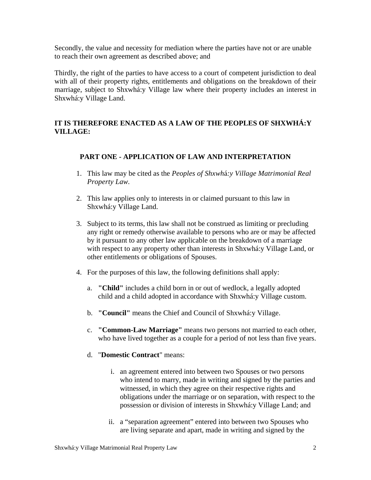Secondly, the value and necessity for mediation where the parties have not or are unable to reach their own agreement as described above; and

Thirdly, the right of the parties to have access to a court of competent jurisdiction to deal with all of their property rights, entitlements and obligations on the breakdown of their marriage, subject to Shxwhá:y Village law where their property includes an interest in Shxwhá:y Village Land.

# **IT IS THEREFORE ENACTED AS A LAW OF THE PEOPLES OF SHXWHÁ:Y VILLAGE:**

# **PART ONE - APPLICATION OF LAW AND INTERPRETATION**

- 1. This law may be cited as the *Peoples of Shxwh*á*:y Village Matrimonial Real Property Law.*
- 2. This law applies only to interests in or claimed pursuant to this law in Shxwhá:y Village Land.
- 3. Subject to its terms, this law shall not be construed as limiting or precluding any right or remedy otherwise available to persons who are or may be affected by it pursuant to any other law applicable on the breakdown of a marriage with respect to any property other than interests in Shxwhá:y Village Land, or other entitlements or obligations of Spouses.
- 4. For the purposes of this law, the following definitions shall apply:
	- a. **"Child"** includes a child born in or out of wedlock, a legally adopted child and a child adopted in accordance with Shxwhá:y Village custom.
	- b. **"Council"** means the Chief and Council of Shxwhá:y Village.
	- c. **"Common-Law Marriage"** means two persons not married to each other, who have lived together as a couple for a period of not less than five years.
	- d. "**Domestic Contract**" means:
		- i. an agreement entered into between two Spouses or two persons who intend to marry, made in writing and signed by the parties and witnessed, in which they agree on their respective rights and obligations under the marriage or on separation, with respect to the possession or division of interests in Shxwhá:y Village Land; and
		- ii. a "separation agreement" entered into between two Spouses who are living separate and apart, made in writing and signed by the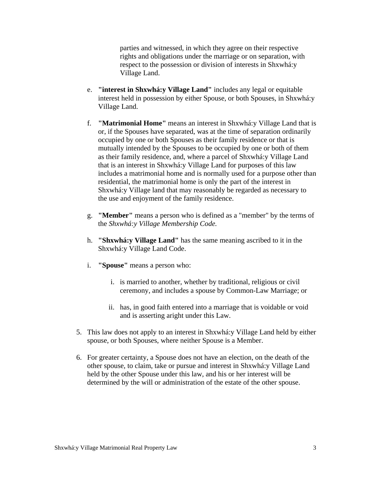parties and witnessed, in which they agree on their respective rights and obligations under the marriage or on separation, with respect to the possession or division of interests in Shxwhá:y Village Land.

- e. **"interest in Shxwhá:y Village Land"** includes any legal or equitable interest held in possession by either Spouse, or both Spouses, in Shxwhá:y Village Land.
- f. **"Matrimonial Home"** means an interest in Shxwhá:y Village Land that is or, if the Spouses have separated, was at the time of separation ordinarily occupied by one or both Spouses as their family residence or that is mutually intended by the Spouses to be occupied by one or both of them as their family residence, and, where a parcel of Shxwhá:y Village Land that is an interest in Shxwhá:y Village Land for purposes of this law includes a matrimonial home and is normally used for a purpose other than residential, the matrimonial home is only the part of the interest in Shxwhá:y Village land that may reasonably be regarded as necessary to the use and enjoyment of the family residence.
- g. **"Member"** means a person who is defined as a "member" by the terms of the *Shxwhá:y Village Membership Code.*
- h. **"Shxwhá:y Village Land"** has the same meaning ascribed to it in the Shxwhá:y Village Land Code.
- i. **"Spouse"** means a person who:
	- i. is married to another, whether by traditional, religious or civil ceremony, and includes a spouse by Common-Law Marriage; or
	- ii. has, in good faith entered into a marriage that is voidable or void and is asserting aright under this Law.
- 5. This law does not apply to an interest in Shxwhá:y Village Land held by either spouse, or both Spouses, where neither Spouse is a Member.
- 6. For greater certainty, a Spouse does not have an election, on the death of the other spouse, to claim, take or pursue and interest in Shxwhá:y Village Land held by the other Spouse under this law, and his or her interest will be determined by the will or administration of the estate of the other spouse.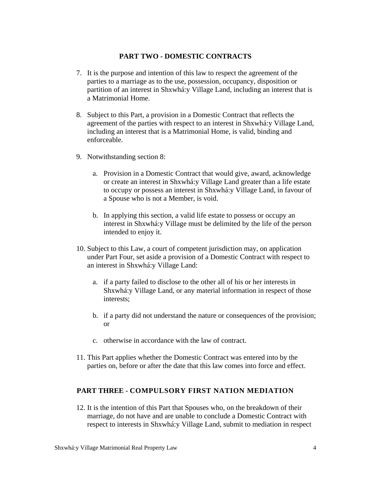### **PART TWO - DOMESTIC CONTRACTS**

- 7. It is the purpose and intention of this law to respect the agreement of the parties to a marriage as to the use, possession, occupancy, disposition or partition of an interest in Shxwhá:y Village Land, including an interest that is a Matrimonial Home.
- 8. Subject to this Part, a provision in a Domestic Contract that reflects the agreement of the parties with respect to an interest in Shxwhá:y Village Land, including an interest that is a Matrimonial Home, is valid, binding and enforceable.
- 9. Notwithstanding section 8:
	- a. Provision in a Domestic Contract that would give, award, acknowledge or create an interest in Shxwhá:y Village Land greater than a life estate to occupy or possess an interest in Shxwhá:y Village Land, in favour of a Spouse who is not a Member, is void.
	- b. In applying this section, a valid life estate to possess or occupy an interest in Shxwhá:y Village must be delimited by the life of the person intended to enjoy it.
- 10. Subject to this Law, a court of competent jurisdiction may, on application under Part Four, set aside a provision of a Domestic Contract with respect to an interest in Shxwhá:y Village Land:
	- a. if a party failed to disclose to the other all of his or her interests in Shxwhá:y Village Land, or any material information in respect of those interests;
	- b. if a party did not understand the nature or consequences of the provision; or
	- c. otherwise in accordance with the law of contract.
- 11. This Part applies whether the Domestic Contract was entered into by the parties on, before or after the date that this law comes into force and effect.

#### **PART THREE - COMPULSORY FIRST NATION MEDIATION**

12. It is the intention of this Part that Spouses who, on the breakdown of their marriage, do not have and are unable to conclude a Domestic Contract with respect to interests in Shxwhá:y Village Land, submit to mediation in respect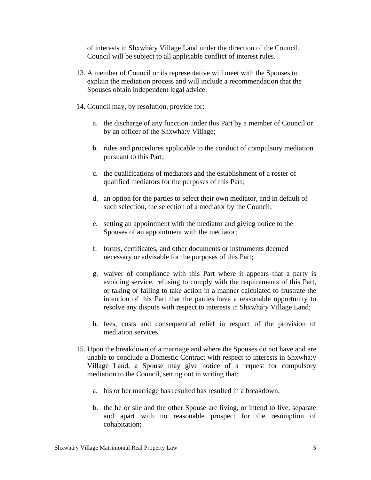of interests in Shxwhá:y Village Land under the direction of the Council. Council will be subject to all applicable conflict of interest rules.

- 13. A member of Council or its representative will meet with the Spouses to explain the mediation process and will include a recommendation that the Spouses obtain independent legal advice.
- 14. Council may, by resolution, provide for:
	- a. the discharge of any function under this Part by a member of Council or by an officer of the Shxwhá:y Village;
	- b. rules and procedures applicable to the conduct of compulsory mediation pursuant to this Part;
	- c. the qualifications of mediators and the establishment of a roster of qualified mediators for the purposes of this Part;
	- d. an option for the parties to select their own mediator, and in default of such selection, the selection of a mediator by the Council;
	- e. setting an appointment with the mediator and giving notice to the Spouses of an appointment with the mediator;
	- f. forms, certificates, and other documents or instruments deemed necessary or advisable for the purposes of this Part;
	- g. waiver of compliance with this Part where it appears that a party is avoiding service, refusing to comply with the requirements of this Part, or taking or failing to take action in a manner calculated to frustrate the intention of this Part that the parties have a reasonable opportunity to resolve any dispute with respect to interests in Shxwhá:y Village Land;
	- h. fees, costs and consequential relief in respect of the provision of mediation services.
- 15. Upon the breakdown of a marriage and where the Spouses do not have and are unable to conclude a Domestic Contract with respect to interests in Shxwhá:y Village Land, a Spouse may give notice of a request for compulsory mediation to the Council, setting out in writing that:
	- a. his or her marriage has resulted has resulted in a breakdown;
	- b. the he or she and the other Spouse are living, or intend to live, separate and apart with no reasonable prospect for the resumption of cohabitation;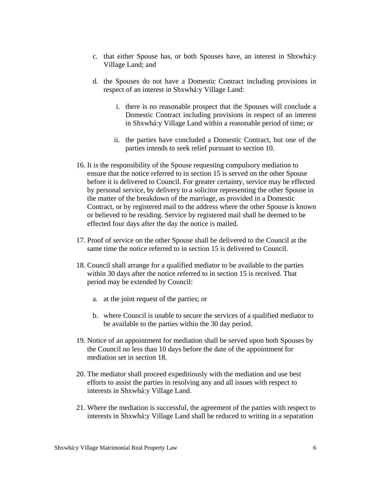- c. that either Spouse has, or both Spouses have, an interest in Shxwhá:y Village Land; and
- d. the Spouses do not have a Domestic Contract including provisions in respect of an interest in Shxwhá:y Village Land:
	- i. there is no reasonable prospect that the Spouses will conclude a Domestic Contract including provisions in respect of an interest in Shxwhá:y Village Land within a reasonable period of time; or
	- ii. the parties have concluded a Domestic Contract, but one of the parties intends to seek relief pursuant to section 10.
- 16. It is the responsibility of the Spouse requesting compulsory mediation to ensure that the notice referred to in section 15 is served on the other Spouse before it is delivered to Council. For greater certainty, service may be effected by personal service, by delivery to a solicitor representing the other Spouse in the matter of the breakdown of the marriage, as provided in a Domestic Contract, or by registered mail to the address where the other Spouse is known or believed to be residing. Service by registered mail shall be deemed to be effected four days after the day the notice is mailed.
- 17. Proof of service on the other Spouse shall be delivered to the Council at the same time the notice referred to in section 15 is delivered to Council.
- 18. Council shall arrange for a qualified mediator to be available to the parties within 30 days after the notice referred to in section 15 is received. That period may be extended by Council:
	- a. at the joint request of the parties; or
	- b. where Council is unable to secure the services of a qualified mediator to be available to the parties within the 30 day period.
- 19. Notice of an appointment for mediation shall be served upon both Spouses by the Council no less than 10 days before the date of the appointment for mediation set in section 18.
- 20. The mediator shall proceed expeditiously with the mediation and use best efforts to assist the parties in resolving any and all issues with respect to interests in Shxwhá:y Village Land.
- 21. Where the mediation is successful, the agreement of the parties with respect to interests in Shxwhá:y Village Land shall be reduced to writing in a separation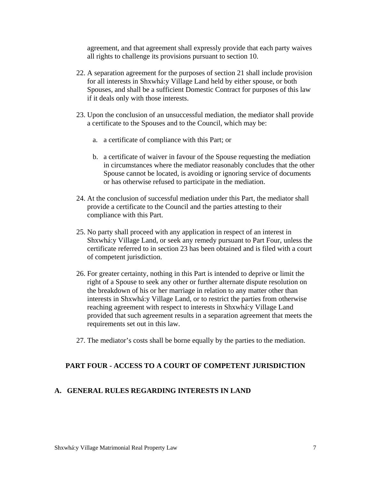agreement, and that agreement shall expressly provide that each party waives all rights to challenge its provisions pursuant to section 10.

- 22. A separation agreement for the purposes of section 21 shall include provision for all interests in Shxwhá:y Village Land held by either spouse, or both Spouses, and shall be a sufficient Domestic Contract for purposes of this law if it deals only with those interests.
- 23. Upon the conclusion of an unsuccessful mediation, the mediator shall provide a certificate to the Spouses and to the Council, which may be:
	- a. a certificate of compliance with this Part; or
	- b. a certificate of waiver in favour of the Spouse requesting the mediation in circumstances where the mediator reasonably concludes that the other Spouse cannot be located, is avoiding or ignoring service of documents or has otherwise refused to participate in the mediation.
- 24. At the conclusion of successful mediation under this Part, the mediator shall provide a certificate to the Council and the parties attesting to their compliance with this Part.
- 25. No party shall proceed with any application in respect of an interest in Shxwhá:y Village Land, or seek any remedy pursuant to Part Four, unless the certificate referred to in section 23 has been obtained and is filed with a court of competent jurisdiction.
- 26. For greater certainty, nothing in this Part is intended to deprive or limit the right of a Spouse to seek any other or further alternate dispute resolution on the breakdown of his or her marriage in relation to any matter other than interests in Shxwhá:y Village Land, or to restrict the parties from otherwise reaching agreement with respect to interests in Shxwhá:y Village Land provided that such agreement results in a separation agreement that meets the requirements set out in this law.
- 27. The mediator's costs shall be borne equally by the parties to the mediation.

#### **PART FOUR - ACCESS TO A COURT OF COMPETENT JURISDICTION**

#### **A. GENERAL RULES REGARDING INTERESTS IN LAND**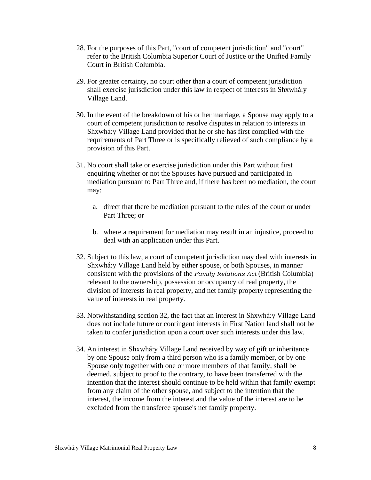- 28. For the purposes of this Part, "court of competent jurisdiction" and "court" refer to the British Columbia Superior Court of Justice or the Unified Family Court in British Columbia.
- 29. For greater certainty, no court other than a court of competent jurisdiction shall exercise jurisdiction under this law in respect of interests in Shxwhá:y Village Land.
- 30. In the event of the breakdown of his or her marriage, a Spouse may apply to a court of competent jurisdiction to resolve disputes in relation to interests in Shxwhá:y Village Land provided that he or she has first complied with the requirements of Part Three or is specifically relieved of such compliance by a provision of this Part.
- 31. No court shall take or exercise jurisdiction under this Part without first enquiring whether or not the Spouses have pursued and participated in mediation pursuant to Part Three and, if there has been no mediation, the court may:
	- a. direct that there be mediation pursuant to the rules of the court or under Part Three; or
	- b. where a requirement for mediation may result in an injustice, proceed to deal with an application under this Part.
- 32. Subject to this law, a court of competent jurisdiction may deal with interests in Shxwhá:y Village Land held by either spouse, or both Spouses, in manner consistent with the provisions of the *Family Relations Act* (British Columbia) relevant to the ownership, possession or occupancy of real property, the division of interests in real property, and net family property representing the value of interests in real property.
- 33. Notwithstanding section 32, the fact that an interest in Shxwhá:y Village Land does not include future or contingent interests in First Nation land shall not be taken to confer jurisdiction upon a court over such interests under this law.
- 34. An interest in Shxwhá:y Village Land received by way of gift or inheritance by one Spouse only from a third person who is a family member, or by one Spouse only together with one or more members of that family, shall be deemed, subject to proof to the contrary, to have been transferred with the intention that the interest should continue to be held within that family exempt from any claim of the other spouse, and subject to the intention that the interest, the income from the interest and the value of the interest are to be excluded from the transferee spouse's net family property.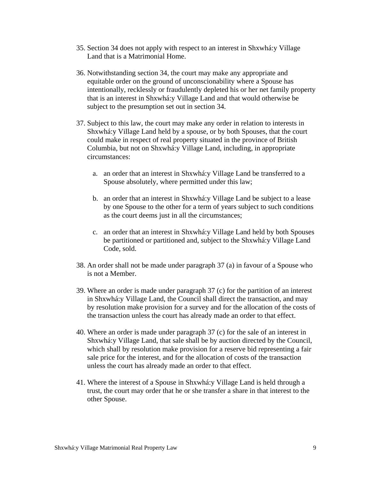- 35. Section 34 does not apply with respect to an interest in Shxwhá:y Village Land that is a Matrimonial Home.
- 36. Notwithstanding section 34, the court may make any appropriate and equitable order on the ground of unconscionability where a Spouse has intentionally, recklessly or fraudulently depleted his or her net family property that is an interest in Shxwhá:y Village Land and that would otherwise be subject to the presumption set out in section 34.
- 37. Subject to this law, the court may make any order in relation to interests in Shxwhá:y Village Land held by a spouse, or by both Spouses, that the court could make in respect of real property situated in the province of British Columbia, but not on Shxwhá:y Village Land, including, in appropriate circumstances:
	- a. an order that an interest in Shxwhá:y Village Land be transferred to a Spouse absolutely, where permitted under this law;
	- b. an order that an interest in Shxwhá:y Village Land be subject to a lease by one Spouse to the other for a term of years subject to such conditions as the court deems just in all the circumstances;
	- c. an order that an interest in Shxwhá:y Village Land held by both Spouses be partitioned or partitioned and, subject to the Shxwhá:y Village Land Code, sold.
- 38. An order shall not be made under paragraph 37 (a) in favour of a Spouse who is not a Member.
- 39. Where an order is made under paragraph 37 (c) for the partition of an interest in Shxwhá:y Village Land, the Council shall direct the transaction, and may by resolution make provision for a survey and for the allocation of the costs of the transaction unless the court has already made an order to that effect.
- 40. Where an order is made under paragraph 37 (c) for the sale of an interest in Shxwhá:y Village Land, that sale shall be by auction directed by the Council, which shall by resolution make provision for a reserve bid representing a fair sale price for the interest, and for the allocation of costs of the transaction unless the court has already made an order to that effect.
- 41. Where the interest of a Spouse in Shxwhá:y Village Land is held through a trust, the court may order that he or she transfer a share in that interest to the other Spouse.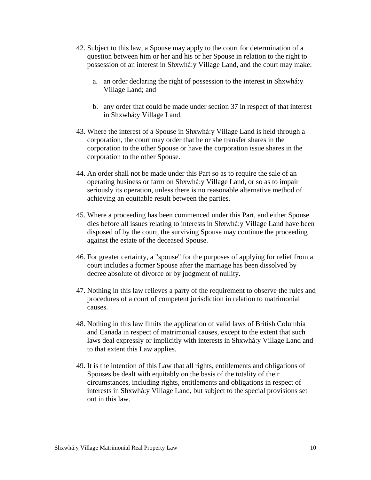- 42. Subject to this law, a Spouse may apply to the court for determination of a question between him or her and his or her Spouse in relation to the right to possession of an interest in Shxwhá:y Village Land, and the court may make:
	- a. an order declaring the right of possession to the interest in Shxwhá:y Village Land; and
	- b. any order that could be made under section 37 in respect of that interest in Shxwhá:y Village Land.
- 43. Where the interest of a Spouse in Shxwhá:y Village Land is held through a corporation, the court may order that he or she transfer shares in the corporation to the other Spouse or have the corporation issue shares in the corporation to the other Spouse.
- 44. An order shall not be made under this Part so as to require the sale of an operating business or farm on Shxwhá:y Village Land, or so as to impair seriously its operation, unless there is no reasonable alternative method of achieving an equitable result between the parties.
- 45. Where a proceeding has been commenced under this Part, and either Spouse dies before all issues relating to interests in Shxwhá:y Village Land have been disposed of by the court, the surviving Spouse may continue the proceeding against the estate of the deceased Spouse.
- 46. For greater certainty, a "spouse" for the purposes of applying for relief from a court includes a former Spouse after the marriage has been dissolved by decree absolute of divorce or by judgment of nullity.
- 47. Nothing in this law relieves a party of the requirement to observe the rules and procedures of a court of competent jurisdiction in relation to matrimonial causes.
- 48. Nothing in this law limits the application of valid laws of British Columbia and Canada in respect of matrimonial causes, except to the extent that such laws deal expressly or implicitly with interests in Shxwhá:y Village Land and to that extent this Law applies.
- 49. It is the intention of this Law that all rights, entitlements and obligations of Spouses be dealt with equitably on the basis of the totality of their circumstances, including rights, entitlements and obligations in respect of interests in Shxwhá:y Village Land, but subject to the special provisions set out in this law.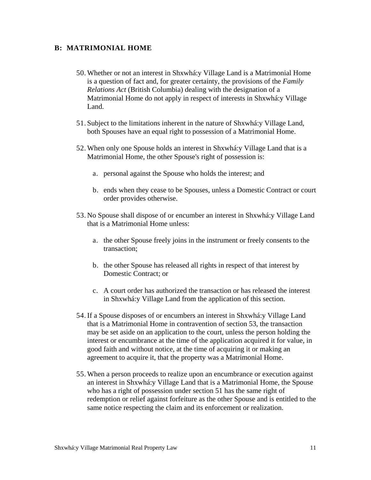#### **B: MATRIMONIAL HOME**

- 50. Whether or not an interest in Shxwhá:y Village Land is a Matrimonial Home is a question of fact and, for greater certainty, the provisions of the *Family Relations Act* (British Columbia) dealing with the designation of a Matrimonial Home do not apply in respect of interests in Shxwhá:y Village Land.
- 51. Subject to the limitations inherent in the nature of Shxwhá:y Village Land, both Spouses have an equal right to possession of a Matrimonial Home.
- 52. When only one Spouse holds an interest in Shxwhá:y Village Land that is a Matrimonial Home, the other Spouse's right of possession is:
	- a. personal against the Spouse who holds the interest; and
	- b. ends when they cease to be Spouses, unless a Domestic Contract or court order provides otherwise.
- 53. No Spouse shall dispose of or encumber an interest in Shxwhá:y Village Land that is a Matrimonial Home unless:
	- a. the other Spouse freely joins in the instrument or freely consents to the transaction;
	- b. the other Spouse has released all rights in respect of that interest by Domestic Contract; or
	- c. A court order has authorized the transaction or has released the interest in Shxwhá:y Village Land from the application of this section.
- 54. If a Spouse disposes of or encumbers an interest in Shxwhá:y Village Land that is a Matrimonial Home in contravention of section 53, the transaction may be set aside on an application to the court, unless the person holding the interest or encumbrance at the time of the application acquired it for value, in good faith and without notice, at the time of acquiring it or making an agreement to acquire it, that the property was a Matrimonial Home.
- 55. When a person proceeds to realize upon an encumbrance or execution against an interest in Shxwhá:y Village Land that is a Matrimonial Home, the Spouse who has a right of possession under section 51 has the same right of redemption or relief against forfeiture as the other Spouse and is entitled to the same notice respecting the claim and its enforcement or realization.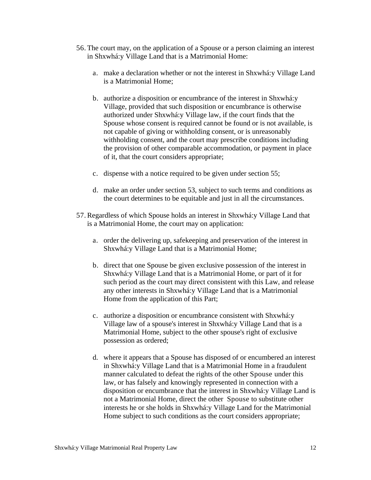- 56. The court may, on the application of a Spouse or a person claiming an interest in Shxwhá:y Village Land that is a Matrimonial Home:
	- a. make a declaration whether or not the interest in Shxwhá:y Village Land is a Matrimonial Home;
	- b. authorize a disposition or encumbrance of the interest in Shxwhá:y Village, provided that such disposition or encumbrance is otherwise authorized under Shxwhá:y Village law, if the court finds that the Spouse whose consent is required cannot be found or is not available, is not capable of giving or withholding consent, or is unreasonably withholding consent, and the court may prescribe conditions including the provision of other comparable accommodation, or payment in place of it, that the court considers appropriate;
	- c. dispense with a notice required to be given under section 55;
	- d. make an order under section 53, subject to such terms and conditions as the court determines to be equitable and just in all the circumstances.
- 57. Regardless of which Spouse holds an interest in Shxwhá:y Village Land that is a Matrimonial Home, the court may on application:
	- a. order the delivering up, safekeeping and preservation of the interest in Shxwhá:y Village Land that is a Matrimonial Home;
	- b. direct that one Spouse be given exclusive possession of the interest in Shxwhá:y Village Land that is a Matrimonial Home, or part of it for such period as the court may direct consistent with this Law, and release any other interests in Shxwhá:y Village Land that is a Matrimonial Home from the application of this Part;
	- c. authorize a disposition or encumbrance consistent with Shxwhá:y Village law of a spouse's interest in Shxwhá:y Village Land that is a Matrimonial Home, subject to the other spouse's right of exclusive possession as ordered;
	- d. where it appears that a Spouse has disposed of or encumbered an interest in Shxwhá:y Village Land that is a Matrimonial Home in a fraudulent manner calculated to defeat the rights of the other Spouse under this law, or has falsely and knowingly represented in connection with a disposition or encumbrance that the interest in Shxwhá:y Village Land is not a Matrimonial Home, direct the other Spouse to substitute other interests he or she holds in Shxwhá:y Village Land for the Matrimonial Home subject to such conditions as the court considers appropriate;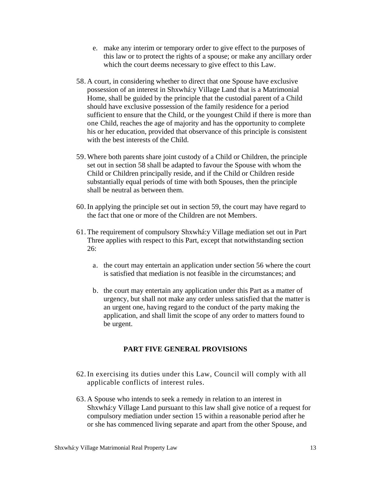- e. make any interim or temporary order to give effect to the purposes of this law or to protect the rights of a spouse; or make any ancillary order which the court deems necessary to give effect to this Law.
- 58. A court, in considering whether to direct that one Spouse have exclusive possession of an interest in Shxwhá:y Village Land that is a Matrimonial Home, shall be guided by the principle that the custodial parent of a Child should have exclusive possession of the family residence for a period sufficient to ensure that the Child, or the youngest Child if there is more than one Child, reaches the age of majority and has the opportunity to complete his or her education, provided that observance of this principle is consistent with the best interests of the Child.
- 59. Where both parents share joint custody of a Child or Children, the principle set out in section 58 shall be adapted to favour the Spouse with whom the Child or Children principally reside, and if the Child or Children reside substantially equal periods of time with both Spouses, then the principle shall be neutral as between them.
- 60. In applying the principle set out in section 59, the court may have regard to the fact that one or more of the Children are not Members.
- 61. The requirement of compulsory Shxwhá:y Village mediation set out in Part Three applies with respect to this Part, except that notwithstanding section 26:
	- a. the court may entertain an application under section 56 where the court is satisfied that mediation is not feasible in the circumstances; and
	- b. the court may entertain any application under this Part as a matter of urgency, but shall not make any order unless satisfied that the matter is an urgent one, having regard to the conduct of the party making the application, and shall limit the scope of any order to matters found to be urgent.

## **PART FIVE GENERAL PROVISIONS**

- 62. In exercising its duties under this Law, Council will comply with all applicable conflicts of interest rules.
- 63. A Spouse who intends to seek a remedy in relation to an interest in Shxwhá:y Village Land pursuant to this law shall give notice of a request for compulsory mediation under section 15 within a reasonable period after he or she has commenced living separate and apart from the other Spouse, and